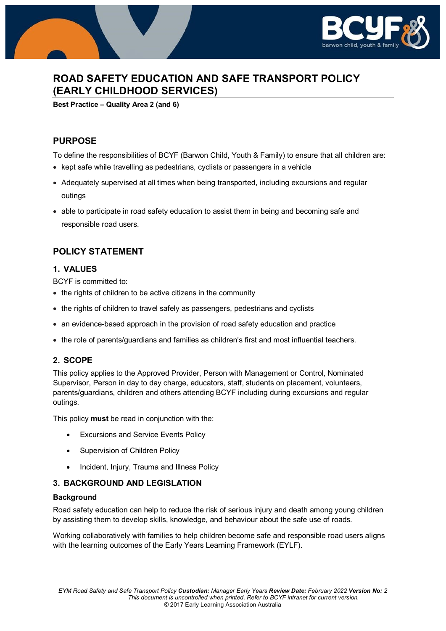

# **ROAD SAFETY EDUCATION AND SAFE TRANSPORT POLICY (EARLY CHILDHOOD SERVICES)**

**Best Practice – Quality Area 2 (and 6)**

## **PURPOSE**

To define the responsibilities of BCYF (Barwon Child, Youth & Family) to ensure that all children are:

- kept safe while travelling as pedestrians, cyclists or passengers in a vehicle
- Adequately supervised at all times when being transported, including excursions and regular outings
- able to participate in road safety education to assist them in being and becoming safe and responsible road users.

# **POLICY STATEMENT**

## **1. VALUES**

BCYF is committed to:

- the rights of children to be active citizens in the community
- the rights of children to travel safely as passengers, pedestrians and cyclists
- an evidence-based approach in the provision of road safety education and practice
- the role of parents/guardians and families as children's first and most influential teachers.

## **2. SCOPE**

This policy applies to the Approved Provider, Person with Management or Control, Nominated Supervisor, Person in day to day charge, educators, staff, students on placement, volunteers, parents/guardians, children and others attending BCYF including during excursions and regular outings.

This policy **must** be read in conjunction with the:

- Excursions and Service Events Policy
- Supervision of Children Policy
- Incident, Injury, Trauma and Illness Policy

## **3. BACKGROUND AND LEGISLATION**

## **Background**

Road safety education can help to reduce the risk of serious injury and death among young children by assisting them to develop skills, knowledge, and behaviour about the safe use of roads.

Working collaboratively with families to help children become safe and responsible road users aligns with the learning outcomes of the Early Years Learning Framework (EYLF).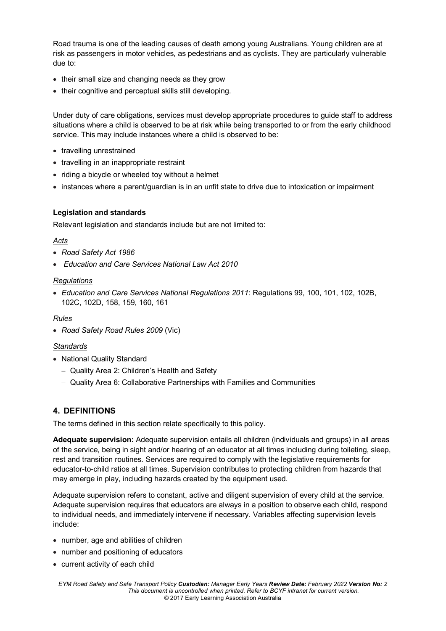Road trauma is one of the leading causes of death among young Australians. Young children are at risk as passengers in motor vehicles, as pedestrians and as cyclists. They are particularly vulnerable due to:

- their small size and changing needs as they grow
- their cognitive and perceptual skills still developing.

Under duty of care obligations, services must develop appropriate procedures to guide staff to address situations where a child is observed to be at risk while being transported to or from the early childhood service. This may include instances where a child is observed to be:

- travelling unrestrained
- travelling in an inappropriate restraint
- riding a bicycle or wheeled toy without a helmet
- instances where a parent/guardian is in an unfit state to drive due to intoxication or impairment

### **Legislation and standards**

Relevant legislation and standards include but are not limited to:

#### *Acts*

- *Road Safety Act 1986*
- *Education and Care Services National Law Act 2010*

### *Regulations*

• *Education and Care Services National Regulations 2011*: Regulations 99, 100, 101, 102, 102B, 102C, 102D, 158, 159, 160, 161

#### *Rules*

• *Road Safety Road Rules 2009* (Vic)

## *Standards*

- National Quality Standard
	- − Quality Area 2: Children's Health and Safety
	- − Quality Area 6: Collaborative Partnerships with Families and Communities

## **4. DEFINITIONS**

The terms defined in this section relate specifically to this policy.

**Adequate supervision:** Adequate supervision entails all children (individuals and groups) in all areas of the service, being in sight and/or hearing of an educator at all times including during toileting, sleep, rest and transition routines. Services are required to comply with the legislative requirements for educator-to-child ratios at all times. Supervision contributes to protecting children from hazards that may emerge in play, including hazards created by the equipment used.

Adequate supervision refers to constant, active and diligent supervision of every child at the service. Adequate supervision requires that educators are always in a position to observe each child, respond to individual needs, and immediately intervene if necessary. Variables affecting supervision levels include:

- number, age and abilities of children
- number and positioning of educators
- current activity of each child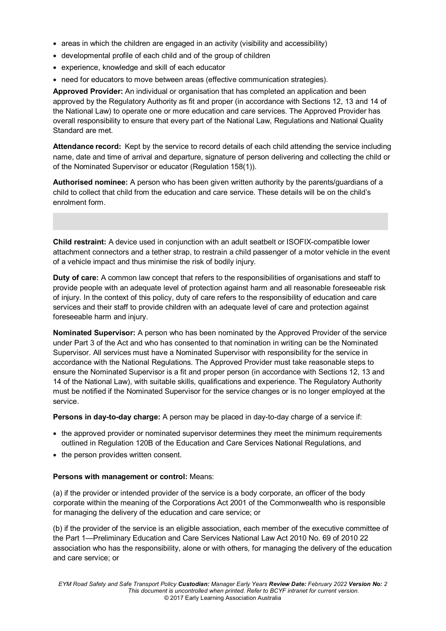- areas in which the children are engaged in an activity (visibility and accessibility)
- developmental profile of each child and of the group of children
- experience, knowledge and skill of each educator
- need for educators to move between areas (effective communication strategies).

**Approved Provider:** An individual or organisation that has completed an application and been approved by the Regulatory Authority as fit and proper (in accordance with Sections 12, 13 and 14 of the National Law) to operate one or more education and care services. The Approved Provider has overall responsibility to ensure that every part of the National Law, Regulations and National Quality Standard are met.

**Attendance record:** Kept by the service to record details of each child attending the service including name, date and time of arrival and departure, signature of person delivering and collecting the child or of the Nominated Supervisor or educator (Regulation 158(1)).

**Authorised nominee:** A person who has been given written authority by the parents/guardians of a child to collect that child from the education and care service. These details will be on the child's enrolment form.

**Child restraint:** A device used in conjunction with an adult seatbelt or ISOFIX-compatible lower attachment connectors and a tether strap, to restrain a child passenger of a motor vehicle in the event of a vehicle impact and thus minimise the risk of bodily injury.

**Duty of care:** A common law concept that refers to the responsibilities of organisations and staff to provide people with an adequate level of protection against harm and all reasonable foreseeable risk of injury. In the context of this policy, duty of care refers to the responsibility of education and care services and their staff to provide children with an adequate level of care and protection against foreseeable harm and injury.

**Nominated Supervisor:** A person who has been nominated by the Approved Provider of the service under Part 3 of the Act and who has consented to that nomination in writing can be the Nominated Supervisor. All services must have a Nominated Supervisor with responsibility for the service in accordance with the National Regulations. The Approved Provider must take reasonable steps to ensure the Nominated Supervisor is a fit and proper person (in accordance with Sections 12, 13 and 14 of the National Law), with suitable skills, qualifications and experience. The Regulatory Authority must be notified if the Nominated Supervisor for the service changes or is no longer employed at the service.

**Persons in day-to-day charge:** A person may be placed in day-to-day charge of a service if:

- the approved provider or nominated supervisor determines they meet the minimum requirements outlined in Regulation 120B of the Education and Care Services National Regulations, and
- the person provides written consent.

## **Persons with management or control:** Means:

(a) if the provider or intended provider of the service is a body corporate, an officer of the body corporate within the meaning of the Corporations Act 2001 of the Commonwealth who is responsible for managing the delivery of the education and care service; or

(b) if the provider of the service is an eligible association, each member of the executive committee of the Part 1—Preliminary Education and Care Services National Law Act 2010 No. 69 of 2010 22 association who has the responsibility, alone or with others, for managing the delivery of the education and care service; or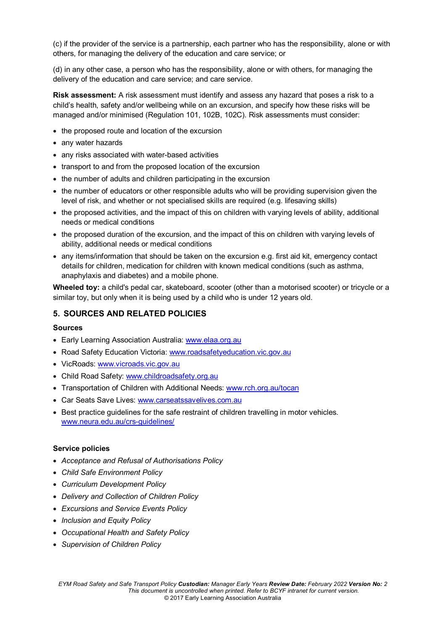(c) if the provider of the service is a partnership, each partner who has the responsibility, alone or with others, for managing the delivery of the education and care service; or

(d) in any other case, a person who has the responsibility, alone or with others, for managing the delivery of the education and care service; and care service.

**Risk assessment:** A risk assessment must identify and assess any hazard that poses a risk to a child's health, safety and/or wellbeing while on an excursion, and specify how these risks will be managed and/or minimised (Regulation 101, 102B, 102C). Risk assessments must consider:

- the proposed route and location of the excursion
- any water hazards
- any risks associated with water-based activities
- transport to and from the proposed location of the excursion
- the number of adults and children participating in the excursion
- the number of educators or other responsible adults who will be providing supervision given the level of risk, and whether or not specialised skills are required (e.g. lifesaving skills)
- the proposed activities, and the impact of this on children with varying levels of ability, additional needs or medical conditions
- the proposed duration of the excursion, and the impact of this on children with varying levels of ability, additional needs or medical conditions
- any items/information that should be taken on the excursion e.g. first aid kit, emergency contact details for children, medication for children with known medical conditions (such as asthma, anaphylaxis and diabetes) and a mobile phone.

**Wheeled toy:** a child's pedal car, skateboard, scooter (other than a motorised scooter) or tricycle or a similar toy, but only when it is being used by a child who is under 12 years old.

## **5. SOURCES AND RELATED POLICIES**

## **Sources**

- Early Learning Association Australia: [www.elaa.org.au](http://www.elaa.org.au/)
- Road Safety Education Victoria: [www.roadsafetyeducation.vic.gov.au](http://www.roadsafetyeducation.vic.gov.au/)
- VicRoads: [www.vicroads.vic.gov.au](http://www.vicroads.vic.gov.au/)
- Child Road Safety: [www.childroadsafety.org.au](http://www.childroadsafety.org.au/)
- Transportation of Children with Additional Needs: [www.rch.org.au/tocan](http://www.rch.org.au/tocan)
- Car Seats Save Lives: [www.carseatssavelives.com.au](http://www.carseatssavelives.com.au/)
- Best practice guidelines for the safe restraint of children travelling in motor vehicles. [www.neura.edu.au/crs-guidelines/](http://www.neura.edu.au/crs-guidelines/)

#### **Service policies**

- *Acceptance and Refusal of Authorisations Policy*
- *Child Safe Environment Policy*
- *Curriculum Development Policy*
- *Delivery and Collection of Children Policy*
- *Excursions and Service Events Policy*
- *Inclusion and Equity Policy*
- *Occupational Health and Safety Policy*
- *Supervision of Children Policy*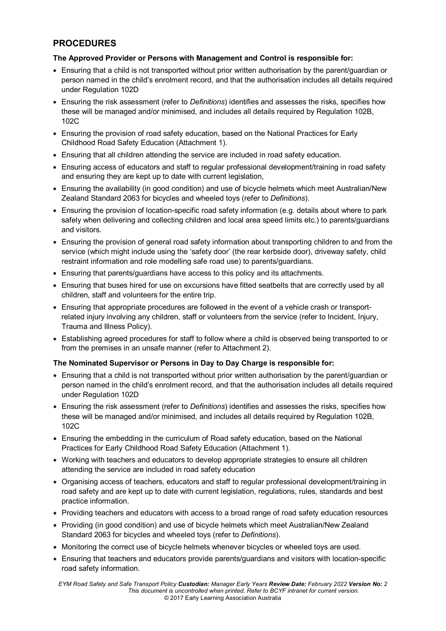# **PROCEDURES**

## **The Approved Provider or Persons with Management and Control is responsible for:**

- Ensuring that a child is not transported without prior written authorisation by the parent/guardian or person named in the child's enrolment record, and that the authorisation includes all details required under Regulation 102D
- Ensuring the risk assessment (refer to *Definitions*) identifies and assesses the risks, specifies how these will be managed and/or minimised, and includes all details required by Regulation 102B, 102C
- Ensuring the provision of road safety education, based on the National Practices for Early Childhood Road Safety Education (Attachment 1).
- Ensuring that all children attending the service are included in road safety education.
- Ensuring access of educators and staff to regular professional development/training in road safety and ensuring they are kept up to date with current legislation,
- Ensuring the availability (in good condition) and use of bicycle helmets which meet Australian/New Zealand Standard 2063 for bicycles and wheeled toys (refer to *Definitions*).
- Ensuring the provision of location-specific road safety information (e.g. details about where to park safely when delivering and collecting children and local area speed limits etc.) to parents/guardians and visitors.
- Ensuring the provision of general road safety information about transporting children to and from the service (which might include using the 'safety door' (the rear kerbside door), driveway safety, child restraint information and role modelling safe road use) to parents/guardians.
- Ensuring that parents/guardians have access to this policy and its attachments.
- Ensuring that buses hired for use on excursions have fitted seatbelts that are correctly used by all children, staff and volunteers for the entire trip.
- Ensuring that appropriate procedures are followed in the event of a vehicle crash or transportrelated injury involving any children, staff or volunteers from the service (refer to Incident, Injury, Trauma and Illness Policy).
- Establishing agreed procedures for staff to follow where a child is observed being transported to or from the premises in an unsafe manner (refer to Attachment 2).

## **The Nominated Supervisor or Persons in Day to Day Charge is responsible for:**

- Ensuring that a child is not transported without prior written authorisation by the parent/guardian or person named in the child's enrolment record, and that the authorisation includes all details required under Regulation 102D
- Ensuring the risk assessment (refer to *Definitions*) identifies and assesses the risks, specifies how these will be managed and/or minimised, and includes all details required by Regulation 102B, 102C
- Ensuring the embedding in the curriculum of Road safety education, based on the National Practices for Early Childhood Road Safety Education (Attachment 1).
- Working with teachers and educators to develop appropriate strategies to ensure all children attending the service are included in road safety education
- Organising access of teachers, educators and staff to regular professional development/training in road safety and are kept up to date with current legislation, regulations, rules, standards and best practice information.
- Providing teachers and educators with access to a broad range of road safety education resources
- Providing (in good condition) and use of bicycle helmets which meet Australian/New Zealand Standard 2063 for bicycles and wheeled toys (refer to *Definitions*).
- Monitoring the correct use of bicycle helmets whenever bicycles or wheeled toys are used.
- Ensuring that teachers and educators provide parents/guardians and visitors with location-specific road safety information.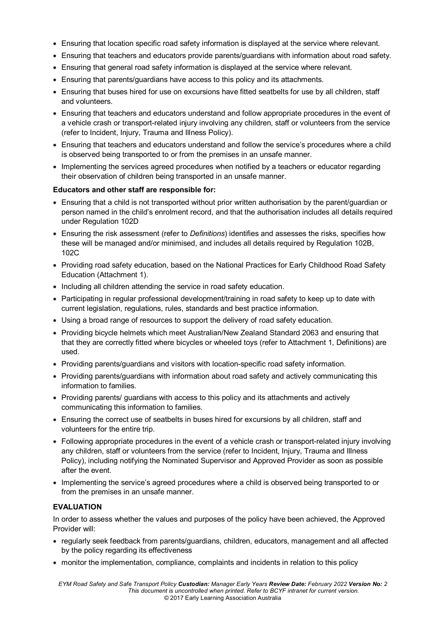- Ensuring that location specific road safety information is displayed at the service where relevant.
- Ensuring that teachers and educators provide parents/guardians with information about road safety.
- Ensuring that general road safety information is displayed at the service where relevant.
- Ensuring that parents/guardians have access to this policy and its attachments.
- Ensuring that buses hired for use on excursions have fitted seatbelts for use by all children, staff and volunteers.
- Ensuring that teachers and educators understand and follow appropriate procedures in the event of a vehicle crash or transport-related injury involving any children, staff or volunteers from the service (refer to Incident, Injury, Trauma and Illness Policy).
- Ensuring that teachers and educators understand and follow the service's procedures where a child is observed being transported to or from the premises in an unsafe manner.
- Implementing the services agreed procedures when notified by a teachers or educator regarding their observation of children being transported in an unsafe manner.

## **Educators and other staff are responsible for:**

- Ensuring that a child is not transported without prior written authorisation by the parent/guardian or person named in the child's enrolment record, and that the authorisation includes all details required under Regulation 102D
- Ensuring the risk assessment (refer to *Definitions*) identifies and assesses the risks, specifies how these will be managed and/or minimised, and includes all details required by Regulation 102B, 102C
- Providing road safety education, based on the National Practices for Early Childhood Road Safety Education (Attachment 1).
- Including all children attending the service in road safety education.
- Participating in regular professional development/training in road safety to keep up to date with current legislation, regulations, rules, standards and best practice information.
- Using a broad range of resources to support the delivery of road safety education.
- Providing bicycle helmets which meet Australian/New Zealand Standard 2063 and ensuring that that they are correctly fitted where bicycles or wheeled toys (refer to Attachment 1, Definitions) are used.
- Providing parents/guardians and visitors with location-specific road safety information.
- Providing parents/guardians with information about road safety and actively communicating this information to families.
- Providing parents/ guardians with access to this policy and its attachments and actively communicating this information to families.
- Ensuring the correct use of seatbelts in buses hired for excursions by all children, staff and volunteers for the entire trip.
- Following appropriate procedures in the event of a vehicle crash or transport-related injury involving any children, staff or volunteers from the service (refer to Incident, Injury, Trauma and Illness Policy), including notifying the Nominated Supervisor and Approved Provider as soon as possible after the event.
- Implementing the service's agreed procedures where a child is observed being transported to or from the premises in an unsafe manner.

## **EVALUATION**

In order to assess whether the values and purposes of the policy have been achieved, the Approved Provider will:

- regularly seek feedback from parents/guardians, children, educators, management and all affected by the policy regarding its effectiveness
- monitor the implementation, compliance, complaints and incidents in relation to this policy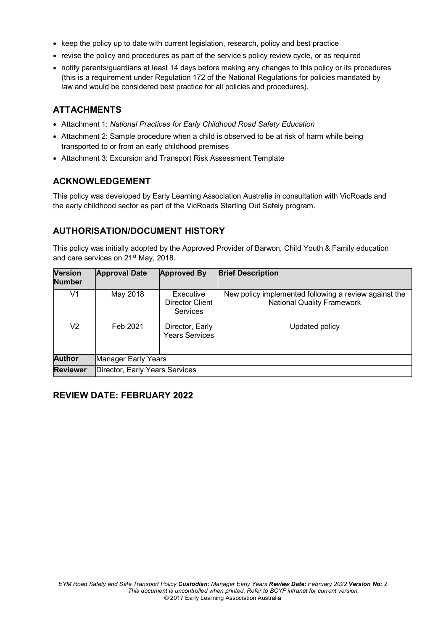- keep the policy up to date with current legislation, research, policy and best practice
- revise the policy and procedures as part of the service's policy review cycle, or as required
- notify parents/guardians at least 14 days before making any changes to this policy or its procedures (this is a requirement under Regulation 172 of the National Regulations for policies mandated by law and would be considered best practice for all policies and procedures).

# **ATTACHMENTS**

- Attachment 1: *National Practices for Early Childhood Road Safety Education*
- Attachment 2: Sample procedure when a child is observed to be at risk of harm while being transported to or from an early childhood premises
- Attachment 3: Excursion and Transport Risk Assessment Template

# **ACKNOWLEDGEMENT**

This policy was developed by Early Learning Association Australia in consultation with VicRoads and the early childhood sector as part of the VicRoads Starting Out Safely program.

# **AUTHORISATION/DOCUMENT HISTORY**

This policy was initially adopted by the Approved Provider of Barwon, Child Youth & Family education and care services on 21<sup>st</sup> May, 2018.

| <b>Version</b><br><b>Number</b> | <b>Approval Date</b>           | <b>Approved By</b>                              | <b>Brief Description</b>                                                                   |
|---------------------------------|--------------------------------|-------------------------------------------------|--------------------------------------------------------------------------------------------|
| V1                              | May 2018                       | Executive<br>Director Client<br><b>Services</b> | New policy implemented following a review against the<br><b>National Quality Framework</b> |
| V2.                             | Feb 2021                       | Director, Early<br><b>Years Services</b>        | Updated policy                                                                             |
| <b>Author</b>                   | Manager Early Years            |                                                 |                                                                                            |
| <b>Reviewer</b>                 | Director, Early Years Services |                                                 |                                                                                            |

# **REVIEW DATE: FEBRUARY 2022**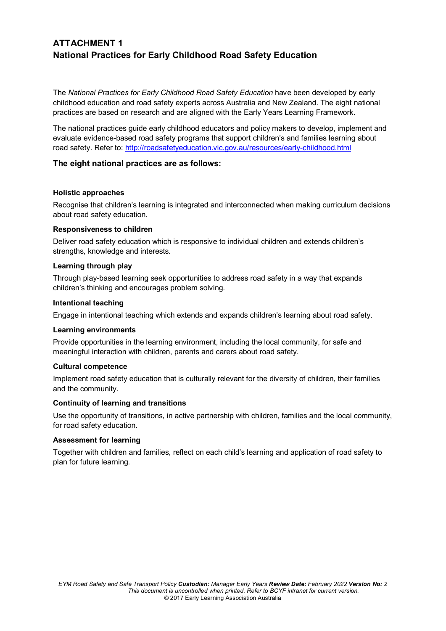# **ATTACHMENT 1 National Practices for Early Childhood Road Safety Education**

The *National Practices for Early Childhood Road Safety Education* have been developed by early childhood education and road safety experts across Australia and New Zealand. The eight national practices are based on research and are aligned with the Early Years Learning Framework.

The national practices guide early childhood educators and policy makers to develop, implement and evaluate evidence-based road safety programs that support children's and families learning about road safety. Refer to:<http://roadsafetyeducation.vic.gov.au/resources/early-childhood.html>

## **The eight national practices are as follows:**

## **Holistic approaches**

Recognise that children's learning is integrated and interconnected when making curriculum decisions about road safety education.

## **Responsiveness to children**

Deliver road safety education which is responsive to individual children and extends children's strengths, knowledge and interests.

## **Learning through play**

Through play-based learning seek opportunities to address road safety in a way that expands children's thinking and encourages problem solving.

### **Intentional teaching**

Engage in intentional teaching which extends and expands children's learning about road safety.

## **Learning environments**

Provide opportunities in the learning environment, including the local community, for safe and meaningful interaction with children, parents and carers about road safety.

#### **Cultural competence**

Implement road safety education that is culturally relevant for the diversity of children, their families and the community.

## **Continuity of learning and transitions**

Use the opportunity of transitions, in active partnership with children, families and the local community, for road safety education.

#### **Assessment for learning**

Together with children and families, reflect on each child's learning and application of road safety to plan for future learning.